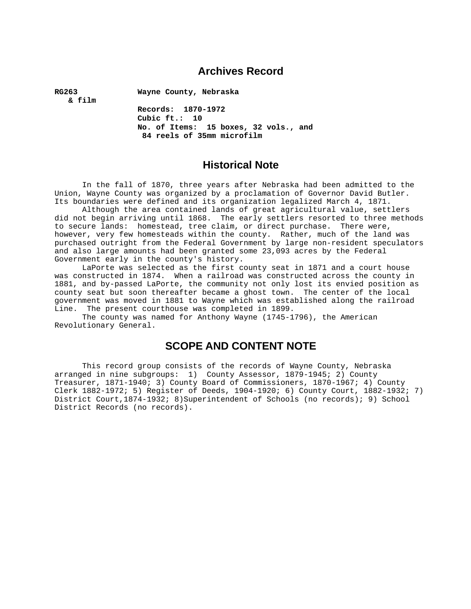### **Archives Record**

**RG263 Wayne County, Nebraska** 

 **& film** 

 **Records: 1870-1972 Cubic ft.: 10 No. of Items: 15 boxes, 32 vols., and 84 reels of 35mm microfilm** 

### **Historical Note**

 In the fall of 1870, three years after Nebraska had been admitted to the Union, Wayne County was organized by a proclamation of Governor David Butler. Its boundaries were defined and its organization legalized March 4, 1871.

 Although the area contained lands of great agricultural value, settlers did not begin arriving until 1868. The early settlers resorted to three methods to secure lands: homestead, tree claim, or direct purchase. There were, however, very few homesteads within the county. Rather, much of the land was purchased outright from the Federal Government by large non-resident speculators and also large amounts had been granted some 23,093 acres by the Federal Government early in the county's history.

 LaPorte was selected as the first county seat in 1871 and a court house was constructed in 1874. When a railroad was constructed across the county in 1881, and by-passed LaPorte, the community not only lost its envied position as county seat but soon thereafter became a ghost town. The center of the local government was moved in 1881 to Wayne which was established along the railroad Line. The present courthouse was completed in 1899.

 The county was named for Anthony Wayne (1745-1796), the American Revolutionary General.

### **SCOPE AND CONTENT NOTE**

 This record group consists of the records of Wayne County, Nebraska arranged in nine subgroups: 1) County Assessor, 1879-1945; 2) County Treasurer, 1871-1940; 3) County Board of Commissioners, 1870-1967; 4) County Clerk 1882-1972; 5) Register of Deeds, 1904-1920; 6) County Court, 1882-1932; 7) District Court,1874-1932; 8)Superintendent of Schools (no records); 9) School District Records (no records).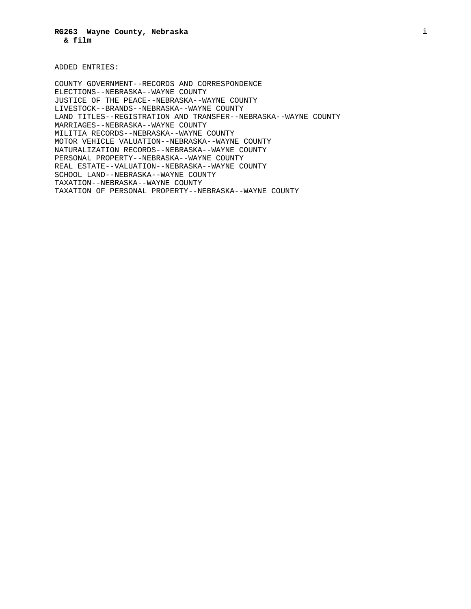ADDED ENTRIES:

COUNTY GOVERNMENT--RECORDS AND CORRESPONDENCE ELECTIONS--NEBRASKA--WAYNE COUNTY JUSTICE OF THE PEACE--NEBRASKA--WAYNE COUNTY LIVESTOCK--BRANDS--NEBRASKA--WAYNE COUNTY LAND TITLES--REGISTRATION AND TRANSFER--NEBRASKA--WAYNE COUNTY MARRIAGES--NEBRASKA--WAYNE COUNTY MILITIA RECORDS--NEBRASKA--WAYNE COUNTY MOTOR VEHICLE VALUATION--NEBRASKA--WAYNE COUNTY NATURALIZATION RECORDS--NEBRASKA--WAYNE COUNTY PERSONAL PROPERTY--NEBRASKA--WAYNE COUNTY REAL ESTATE--VALUATION--NEBRASKA--WAYNE COUNTY SCHOOL LAND--NEBRASKA--WAYNE COUNTY TAXATION--NEBRASKA--WAYNE COUNTY TAXATION OF PERSONAL PROPERTY--NEBRASKA--WAYNE COUNTY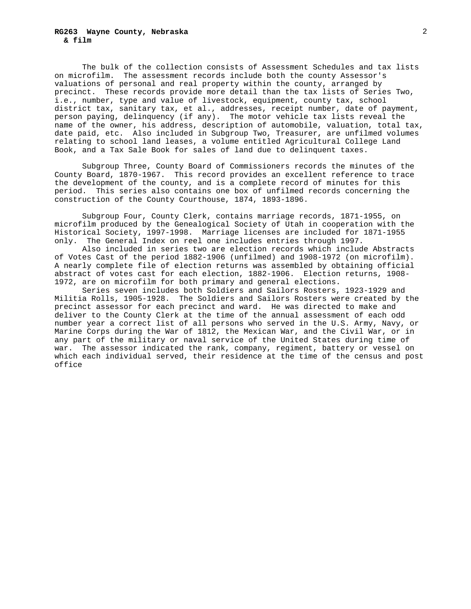#### **RG263 Wayne County, Nebraska & film**

 The bulk of the collection consists of Assessment Schedules and tax lists on microfilm. The assessment records include both the county Assessor's valuations of personal and real property within the county, arranged by precinct. These records provide more detail than the tax lists of Series Two, i.e., number, type and value of livestock, equipment, county tax, school district tax, sanitary tax, et al., addresses, receipt number, date of payment, person paying, delinquency (if any). The motor vehicle tax lists reveal the name of the owner, his address, description of automobile, valuation, total tax, date paid, etc. Also included in Subgroup Two, Treasurer, are unfilmed volumes relating to school land leases, a volume entitled Agricultural College Land Book, and a Tax Sale Book for sales of land due to delinquent taxes.

 Subgroup Three, County Board of Commissioners records the minutes of the County Board, 1870-1967. This record provides an excellent reference to trace the development of the county, and is a complete record of minutes for this period. This series also contains one box of unfilmed records concerning the construction of the County Courthouse, 1874, 1893-1896.

 Subgroup Four, County Clerk, contains marriage records, 1871-1955, on microfilm produced by the Genealogical Society of Utah in cooperation with the Historical Society, 1997-1998. Marriage licenses are included for 1871-1955 only. The General Index on reel one includes entries through 1997.

Also included in series two are election records which include Abstracts of Votes Cast of the period 1882-1906 (unfilmed) and 1908-1972 (on microfilm). A nearly complete file of election returns was assembled by obtaining official abstract of votes cast for each election, 1882-1906. Election returns, 1908- 1972, are on microfilm for both primary and general elections.

 Series seven includes both Soldiers and Sailors Rosters, 1923-1929 and Militia Rolls, 1905-1928. The Soldiers and Sailors Rosters were created by the precinct assessor for each precinct and ward. He was directed to make and deliver to the County Clerk at the time of the annual assessment of each odd number year a correct list of all persons who served in the U.S. Army, Navy, or Marine Corps during the War of 1812, the Mexican War, and the Civil War, or in any part of the military or naval service of the United States during time of war. The assessor indicated the rank, company, regiment, battery or vessel on which each individual served, their residence at the time of the census and post office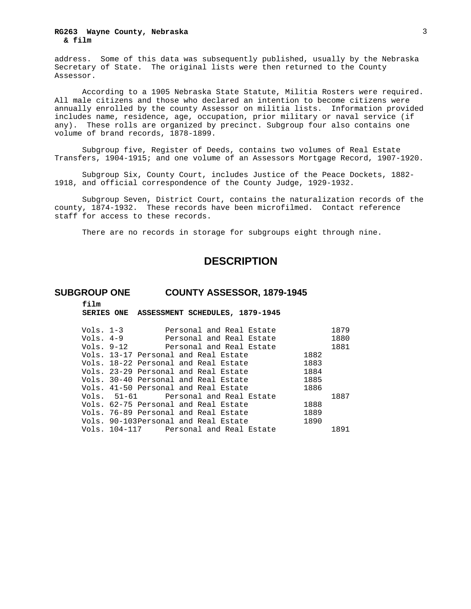#### **RG263 Wayne County, Nebraska & film**

address. Some of this data was subsequently published, usually by the Nebraska Secretary of State. The original lists were then returned to the County Assessor.

 According to a 1905 Nebraska State Statute, Militia Rosters were required. All male citizens and those who declared an intention to become citizens were annually enrolled by the county Assessor on militia lists. Information provided includes name, residence, age, occupation, prior military or naval service (if any). These rolls are organized by precinct. Subgroup four also contains one volume of brand records, 1878-1899.

 Subgroup five, Register of Deeds, contains two volumes of Real Estate Transfers, 1904-1915; and one volume of an Assessors Mortgage Record, 1907-1920.

 Subgroup Six, County Court, includes Justice of the Peace Dockets, 1882- 1918, and official correspondence of the County Judge, 1929-1932.

 Subgroup Seven, District Court, contains the naturalization records of the county, 1874-1932. These records have been microfilmed. Contact reference staff for access to these records.

There are no records in storage for subgroups eight through nine.

### **DESCRIPTION**

### **SUBGROUP ONE COUNTY ASSESSOR, 1879-1945**

**film**

**SERIES ONE ASSESSMENT SCHEDULES, 1879-1945** 

| Personal and Real Estate |                                                                                                                                                                                                                                                                                                                                                                                                                                                                                 | 1879 |
|--------------------------|---------------------------------------------------------------------------------------------------------------------------------------------------------------------------------------------------------------------------------------------------------------------------------------------------------------------------------------------------------------------------------------------------------------------------------------------------------------------------------|------|
| Personal and Real Estate |                                                                                                                                                                                                                                                                                                                                                                                                                                                                                 | 1880 |
|                          |                                                                                                                                                                                                                                                                                                                                                                                                                                                                                 | 1881 |
|                          | 1882                                                                                                                                                                                                                                                                                                                                                                                                                                                                            |      |
|                          | 1883                                                                                                                                                                                                                                                                                                                                                                                                                                                                            |      |
|                          | 1884                                                                                                                                                                                                                                                                                                                                                                                                                                                                            |      |
|                          | 1885                                                                                                                                                                                                                                                                                                                                                                                                                                                                            |      |
|                          | 1886                                                                                                                                                                                                                                                                                                                                                                                                                                                                            |      |
|                          |                                                                                                                                                                                                                                                                                                                                                                                                                                                                                 | 1887 |
|                          | 1888                                                                                                                                                                                                                                                                                                                                                                                                                                                                            |      |
|                          | 1889                                                                                                                                                                                                                                                                                                                                                                                                                                                                            |      |
|                          | 1890                                                                                                                                                                                                                                                                                                                                                                                                                                                                            |      |
|                          |                                                                                                                                                                                                                                                                                                                                                                                                                                                                                 | 1891 |
|                          | Vols. 1-3<br>Vols. 4-9<br>Vols. 9-12 Personal and Real Estate<br>Vols. 13-17 Personal and Real Estate<br>Vols. 18-22 Personal and Real Estate<br>Vols. 23-29 Personal and Real Estate<br>Vols. 30-40 Personal and Real Estate<br>Vols. 41-50 Personal and Real Estate<br>Vols. 51-61 Personal and Real Estate<br>Vols. 62-75 Personal and Real Estate<br>Vols. 76-89 Personal and Real Estate<br>Vols. 90-103Personal and Real Estate<br>Vols. 104-117 Personal and Real Estate |      |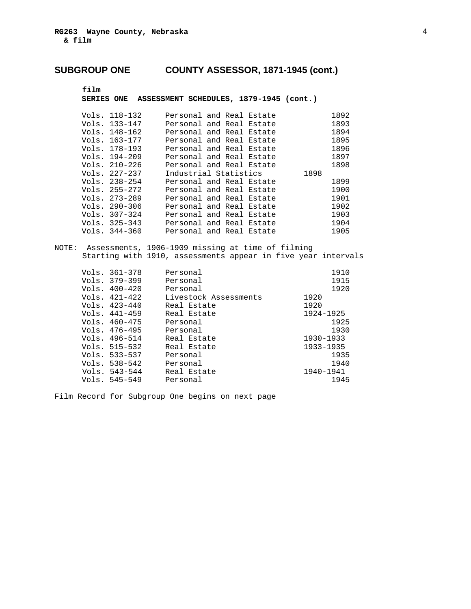### **film**

**SERIES ONE ASSESSMENT SCHEDULES, 1879-1945 (cont.)**

| Vols. 118-132 | Personal and Real Estate |  |      | 1892 |
|---------------|--------------------------|--|------|------|
|               |                          |  |      |      |
| Vols. 133-147 | Personal and Real Estate |  |      | 1893 |
| Vols. 148-162 | Personal and Real Estate |  |      | 1894 |
| Vols. 163-177 | Personal and Real Estate |  |      | 1895 |
| Vols. 178-193 | Personal and Real Estate |  |      | 1896 |
| Vols. 194-209 | Personal and Real Estate |  |      | 1897 |
| Vols. 210-226 | Personal and Real Estate |  |      | 1898 |
| Vols. 227-237 | Industrial Statistics    |  | 1898 |      |
| Vols. 238-254 | Personal and Real Estate |  |      | 1899 |
| Vols. 255-272 | Personal and Real Estate |  |      | 1900 |
| Vols. 273-289 | Personal and Real Estate |  |      | 1901 |
| Vols. 290-306 | Personal and Real Estate |  |      | 1902 |
| Vols. 307-324 | Personal and Real Estate |  |      | 1903 |
| Vols. 325-343 | Personal and Real Estate |  |      | 1904 |
| Vols. 344-360 | Personal and Real Estate |  |      | 1905 |

NOTE: Assessments, 1906-1909 missing at time of filming Starting with 1910, assessments appear in five year intervals

| Vols. 361–378 | Personal              | 1910      |
|---------------|-----------------------|-----------|
| Vols. 379–399 | Personal              | 1915      |
| Vols. 400–420 | Personal              | 1920      |
| Vols. 421–422 | Livestock Assessments | 1920      |
| Vols. 423–440 | Real Estate           | 1920      |
| Vols. 441–459 | Real Estate           | 1924-1925 |
| Vols. 460–475 | Personal              | 1925      |
| Vols. 476–495 | Personal              | 1930      |
| Vols. 496–514 | Real Estate           | 1930-1933 |
| Vols. 515–532 | Real Estate           | 1933-1935 |
| Vols. 533–537 | Personal              | 1935      |
| Vols. 538–542 | Personal              | 1940      |
| Vols. 543–544 | Real Estate           | 1940-1941 |
| Vols. 545–549 | Personal              | 1945      |
|               |                       |           |

Film Record for Subgroup One begins on next page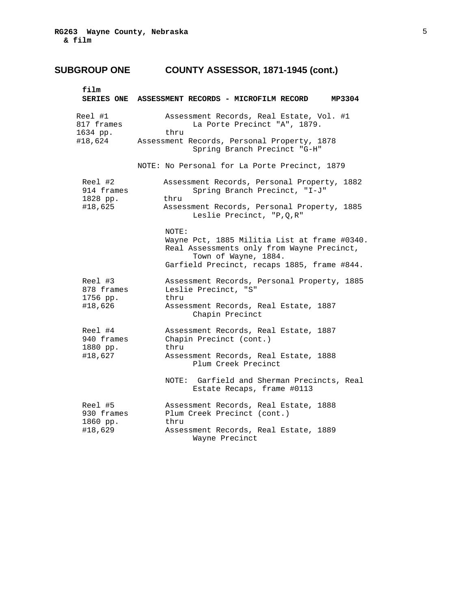| film                                         | SERIES ONE ASSESSMENT RECORDS - MICROFILM RECORD<br>MP3304                                                                                                                 |
|----------------------------------------------|----------------------------------------------------------------------------------------------------------------------------------------------------------------------------|
| Reel #1<br>817 frames<br>1634 pp.<br>#18,624 | Assessment Records, Real Estate, Vol. #1<br>La Porte Precinct "A", 1879.<br>thru<br>Assessment Records, Personal Property, 1878<br>Spring Branch Precinct "G-H"            |
|                                              | NOTE: No Personal for La Porte Precinct, 1879                                                                                                                              |
| Reel #2<br>914 frames<br>1828 pp.<br>#18,625 | Assessment Records, Personal Property, 1882<br>Spring Branch Precinct, "I-J"<br>thru<br>Assessment Records, Personal Property, 1885<br>Leslie Precinct, "P, Q, R"          |
|                                              | NOTE:<br>Wayne Pct, 1885 Militia List at frame #0340.<br>Real Assessments only from Wayne Precinct,<br>Town of Wayne, 1884.<br>Garfield Precinct, recaps 1885, frame #844. |
| Reel #3<br>878 frames<br>1756 pp.            | Assessment Records, Personal Property, 1885<br>Leslie Precinct, "S"<br>thru                                                                                                |
| #18,626                                      | Assessment Records, Real Estate, 1887<br>Chapin Precinct                                                                                                                   |
| Reel #4<br>940 frames<br>1880 pp.            | Assessment Records, Real Estate, 1887<br>Chapin Precinct (cont.)<br>thru                                                                                                   |
| #18,627                                      | Assessment Records, Real Estate, 1888<br>Plum Creek Precinct                                                                                                               |
|                                              | NOTE: Garfield and Sherman Precincts, Real<br>Estate Recaps, frame #0113                                                                                                   |
| Reel #5<br>930 frames<br>1860 pp.            | Assessment Records, Real Estate, 1888<br>Plum Creek Precinct (cont.)<br>thru                                                                                               |
| #18,629                                      | Assessment Records, Real Estate, 1889<br>Wayne Precinct                                                                                                                    |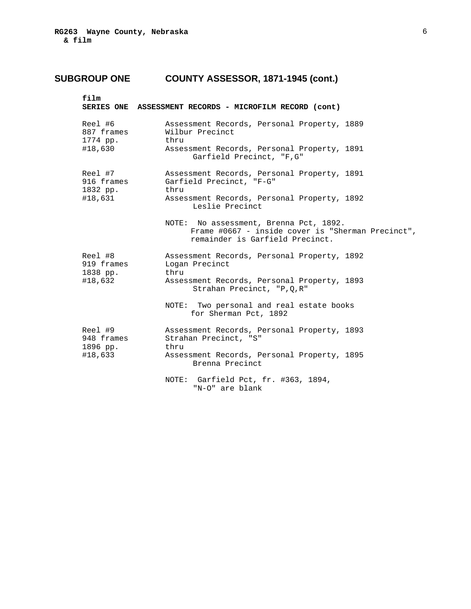| film                              | SERIES ONE ASSESSMENT RECORDS - MICROFILM RECORD (cont)                                                                        |
|-----------------------------------|--------------------------------------------------------------------------------------------------------------------------------|
| Reel #6<br>887 frames<br>1774 pp. | Assessment Records, Personal Property, 1889<br>Wilbur Precinct<br>thru                                                         |
| #18,630                           | Assessment Records, Personal Property, 1891<br>Garfield Precinct, "F, G"                                                       |
| Reel #7<br>916 frames<br>1832 pp. | Assessment Records, Personal Property, 1891<br>Garfield Precinct, "F-G"<br>thru                                                |
| #18,631                           | Assessment Records, Personal Property, 1892<br>Leslie Precinct                                                                 |
|                                   | NOTE: No assessment, Brenna Pct, 1892.<br>Frame #0667 - inside cover is "Sherman Precinct",<br>remainder is Garfield Precinct. |
| Reel #8<br>919 frames<br>1838 pp. | Assessment Records, Personal Property, 1892<br>Logan Precinct<br>thru                                                          |
| #18,632                           | Assessment Records, Personal Property, 1893<br>Strahan Precinct, "P, Q, R"                                                     |
|                                   | NOTE: Two personal and real estate books<br>for Sherman Pct, 1892                                                              |
| Reel #9<br>948 frames<br>1896 pp. | Assessment Records, Personal Property, 1893<br>Strahan Precinct, "S"<br>thru                                                   |
| #18,633                           | Assessment Records, Personal Property, 1895<br>Brenna Precinct                                                                 |
|                                   | NOTE: Garfield Pct, fr. #363, 1894,<br>"N-O" are blank                                                                         |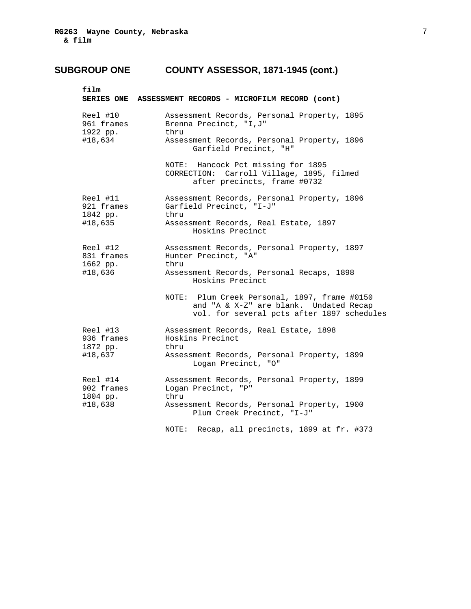| film                               | SERIES ONE ASSESSMENT RECORDS - MICROFILM RECORD (cont)                                                                              |
|------------------------------------|--------------------------------------------------------------------------------------------------------------------------------------|
| Reel #10<br>961 frames<br>1922 pp. | Assessment Records, Personal Property, 1895<br>Brenna Precinct, "I, J"<br>thru                                                       |
| #18,634                            | Assessment Records, Personal Property, 1896<br>Garfield Precinct, "H"                                                                |
|                                    | NOTE: Hancock Pct missing for 1895<br>CORRECTION: Carroll Village, 1895, filmed<br>after precincts, frame #0732                      |
| Reel #11<br>921 frames<br>1842 pp. | Assessment Records, Personal Property, 1896<br>Garfield Precinct, "I-J"<br>thru                                                      |
| #18,635                            | Assessment Records, Real Estate, 1897<br>Hoskins Precinct                                                                            |
| Reel #12<br>831 frames<br>1662 pp. | Assessment Records, Personal Property, 1897<br>Hunter Precinct, "A"<br>thru                                                          |
| #18,636                            | Assessment Records, Personal Recaps, 1898<br>Hoskins Precinct                                                                        |
|                                    | NOTE: Plum Creek Personal, 1897, frame #0150<br>and "A & X-Z" are blank. Undated Recap<br>vol. for several pcts after 1897 schedules |
| Reel #13<br>936 frames<br>1872 pp. | Assessment Records, Real Estate, 1898<br>Hoskins Precinct<br>thru                                                                    |
| #18,637                            | Assessment Records, Personal Property, 1899<br>Logan Precinct, "O"                                                                   |
| Reel #14<br>902 frames<br>1804 pp. | Assessment Records, Personal Property, 1899<br>Logan Precinct, "P"<br>thru                                                           |
| #18,638                            | Assessment Records, Personal Property, 1900<br>Plum Creek Precinct, "I-J"                                                            |
|                                    | Recap, all precincts, 1899 at fr. #373<br>NOTE:                                                                                      |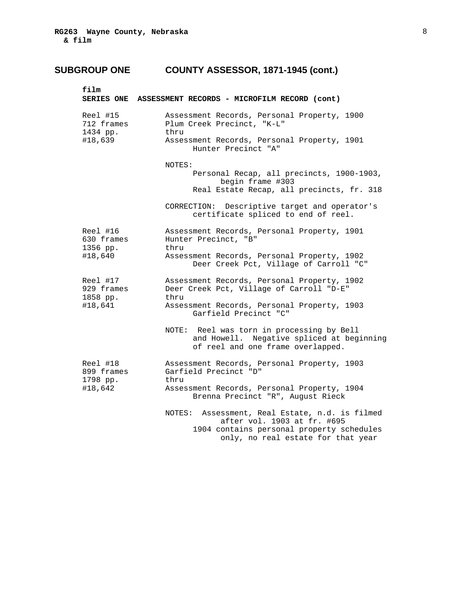| SERIES ONE ASSESSMENT RECORDS - MICROFILM RECORD (cont)                                                                                                             |
|---------------------------------------------------------------------------------------------------------------------------------------------------------------------|
| Assessment Records, Personal Property, 1900<br>Plum Creek Precinct, "K-L"<br>thru                                                                                   |
| Assessment Records, Personal Property, 1901<br>Hunter Precinct "A"                                                                                                  |
| NOTES:                                                                                                                                                              |
| Personal Recap, all precincts, 1900-1903,<br>begin frame #303                                                                                                       |
| Real Estate Recap, all precincts, fr. 318                                                                                                                           |
| CORRECTION: Descriptive target and operator's<br>certificate spliced to end of reel.                                                                                |
| Assessment Records, Personal Property, 1901<br>Hunter Precinct, "B"<br>thru                                                                                         |
| Assessment Records, Personal Property, 1902<br>Deer Creek Pct, Village of Carroll "C"                                                                               |
| Assessment Records, Personal Property, 1902<br>929 frames<br>Deer Creek Pct, Village of Carroll "D-E"<br>thru                                                       |
| Assessment Records, Personal Property, 1903<br>Garfield Precinct "C"                                                                                                |
| NOTE: Reel was torn in processing by Bell<br>and Howell. Negative spliced at beginning<br>of reel and one frame overlapped.                                         |
| Assessment Records, Personal Property, 1903<br>Garfield Precinct "D"<br>thru                                                                                        |
| Assessment Records, Personal Property, 1904<br>Brenna Precinct "R", August Rieck                                                                                    |
| Assessment, Real Estate, n.d. is filmed<br>NOTES:<br>after vol. 1903 at fr. #695<br>1904 contains personal property schedules<br>only, no real estate for that year |
|                                                                                                                                                                     |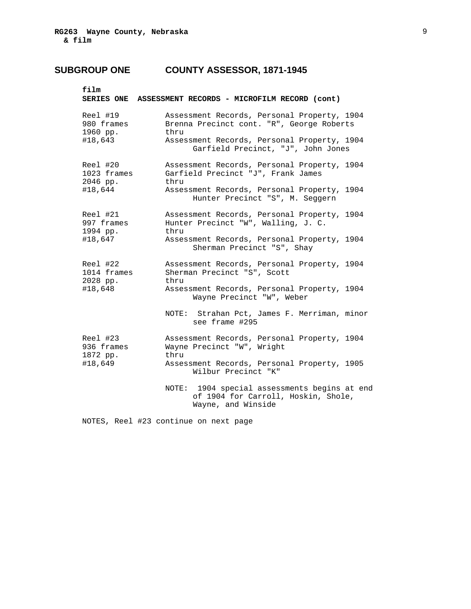## **SUBGROUP ONE COUNTY ASSESSOR, 1871-1945**

|                                     | SERIES ONE ASSESSMENT RECORDS - MICROFILM RECORD (cont)                                                   |
|-------------------------------------|-----------------------------------------------------------------------------------------------------------|
| Reel #19<br>980 frames<br>1960 pp.  | Assessment Records, Personal Property, 1904<br>Brenna Precinct cont. "R", George Roberts<br>thru          |
| #18,643                             | Assessment Records, Personal Property, 1904<br>Garfield Precinct, "J", John Jones                         |
| Reel #20<br>1023 frames<br>2046 pp. | Assessment Records, Personal Property, 1904<br>Garfield Precinct "J", Frank James<br>thru                 |
| #18,644                             | Assessment Records, Personal Property, 1904<br>Hunter Precinct "S", M. Seggern                            |
| Reel #21<br>997 frames<br>1994 pp.  | Assessment Records, Personal Property, 1904<br>Hunter Precinct "W", Walling, J. C.<br>thru                |
| #18,647                             | Assessment Records, Personal Property, 1904<br>Sherman Precinct "S", Shay                                 |
| Reel #22<br>1014 frames<br>2028 pp. | Assessment Records, Personal Property, 1904<br>Sherman Precinct "S", Scott<br>thru                        |
| #18,648                             | Assessment Records, Personal Property, 1904<br>Wayne Precinct "W", Weber                                  |
|                                     | NOTE: Strahan Pct, James F. Merriman, minor<br>see frame #295                                             |
| Reel #23<br>936 frames<br>1872 pp.  | Assessment Records, Personal Property, 1904<br>Wayne Precinct "W", Wright<br>thru                         |
| #18,649                             | Assessment Records, Personal Property, 1905<br>Wilbur Precinct "K"                                        |
|                                     | NOTE: 1904 special assessments begins at end<br>of 1904 for Carroll, Hoskin, Shole,<br>Wayne, and Winside |

NOTES, Reel #23 continue on next page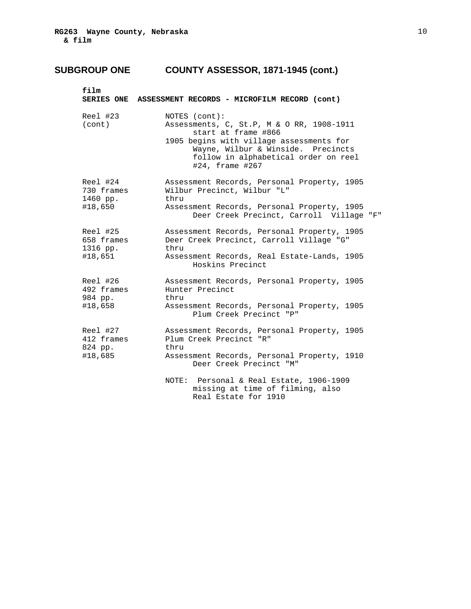| film                                          | SERIES ONE ASSESSMENT RECORDS - MICROFILM RECORD (cont)                                                                                                                                                                        |
|-----------------------------------------------|--------------------------------------------------------------------------------------------------------------------------------------------------------------------------------------------------------------------------------|
| Reel #23<br>(cont)                            | NOTES (cont):<br>Assessments, C, St.P, M & O RR, 1908-1911<br>start at frame #866<br>1905 begins with village assessments for<br>Wayne, Wilbur & Winside. Precincts<br>follow in alphabetical order on reel<br>#24, frame #267 |
| Reel #24<br>730 frames<br>1460 pp.<br>#18,650 | Assessment Records, Personal Property, 1905<br>Wilbur Precinct, Wilbur "L"<br>thru<br>Assessment Records, Personal Property, 1905                                                                                              |
|                                               | Deer Creek Precinct, Carroll Village "F"                                                                                                                                                                                       |
| Reel #25<br>658 frames<br>1316 pp.            | Assessment Records, Personal Property, 1905<br>Deer Creek Precinct, Carroll Village "G"<br>thru                                                                                                                                |
| #18,651                                       | Assessment Records, Real Estate-Lands, 1905<br>Hoskins Precinct                                                                                                                                                                |
| Reel #26<br>492 frames<br>984 pp.             | Assessment Records, Personal Property, 1905<br>Hunter Precinct<br>thru                                                                                                                                                         |
| #18,658                                       | Assessment Records, Personal Property, 1905<br>Plum Creek Precinct "P"                                                                                                                                                         |
| Reel #27<br>412 frames<br>824 pp.             | Assessment Records, Personal Property, 1905<br>Plum Creek Precinct "R"<br>thru                                                                                                                                                 |
| #18,685                                       | Assessment Records, Personal Property, 1910<br>Deer Creek Precinct "M"                                                                                                                                                         |
|                                               | NOTE: Personal & Real Estate, 1906-1909<br>missing at time of filming, also<br>Real Estate for 1910                                                                                                                            |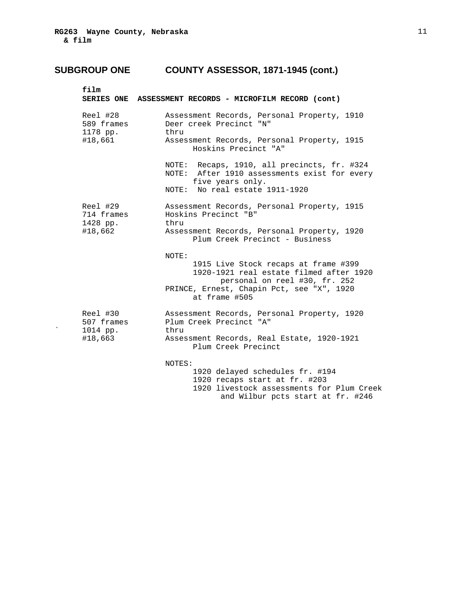| film                               | SERIES ONE ASSESSMENT RECORDS - MICROFILM RECORD (cont)                                                                                           |
|------------------------------------|---------------------------------------------------------------------------------------------------------------------------------------------------|
| Reel #28<br>589 frames<br>1178 pp. | Assessment Records, Personal Property, 1910<br>Deer creek Precinct "N"<br>thru                                                                    |
| #18,661                            | Assessment Records, Personal Property, 1915<br>Hoskins Precinct "A"                                                                               |
|                                    | NOTE: Recaps, 1910, all precincts, fr. #324<br>NOTE: After 1910 assessments exist for every<br>five years only.<br>NOTE: No real estate 1911-1920 |
|                                    |                                                                                                                                                   |
| Reel #29<br>714 frames<br>1428 pp. | Assessment Records, Personal Property, 1915<br>Hoskins Precinct "B"<br>thru                                                                       |
| #18,662                            | Assessment Records, Personal Property, 1920<br>Plum Creek Precinct - Business                                                                     |
|                                    | NOTE:                                                                                                                                             |
|                                    | 1915 Live Stock recaps at frame #399<br>1920-1921 real estate filmed after 1920<br>personal on reel #30, fr. 252                                  |
|                                    | PRINCE, Ernest, Chapin Pct, see "X", 1920<br>at frame #505                                                                                        |
| Reel #30<br>507 frames<br>1014 pp. | Assessment Records, Personal Property, 1920<br>Plum Creek Precinct "A"<br>thru                                                                    |
| #18,663                            | Assessment Records, Real Estate, 1920-1921<br>Plum Creek Precinct                                                                                 |
|                                    | NOTES:                                                                                                                                            |
|                                    | 1920 delayed schedules fr. #194                                                                                                                   |
|                                    | 1920 recaps start at fr. #203                                                                                                                     |
|                                    | 1920 livestock assessments for Plum Creek<br>and Wilbur pcts start at fr. #246                                                                    |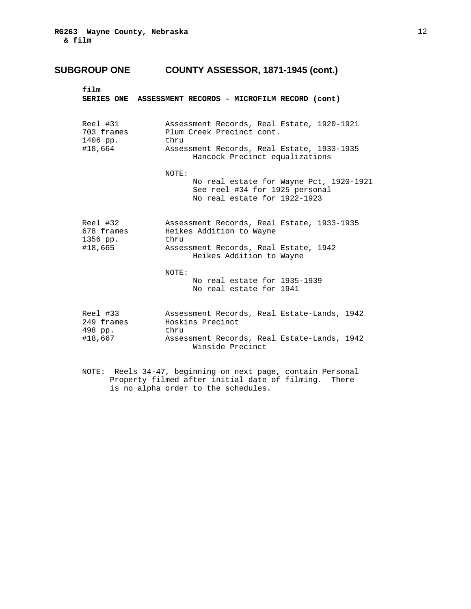| film                               | SERIES ONE ASSESSMENT RECORDS - MICROFILM RECORD (cont)                                                            |
|------------------------------------|--------------------------------------------------------------------------------------------------------------------|
| Reel #31<br>703 frames<br>1406 pp. | Assessment Records, Real Estate, 1920-1921<br>Plum Creek Precinct cont.<br>thru                                    |
| #18,664                            | Assessment Records, Real Estate, 1933-1935<br>Hancock Precinct equalizations                                       |
|                                    | NOTE:<br>No real estate for Wayne Pct, 1920-1921<br>See reel #34 for 1925 personal<br>No real estate for 1922-1923 |
| Reel #32<br>678 frames<br>1356 pp. | Assessment Records, Real Estate, 1933-1935<br>Heikes Addition to Wayne<br>thru                                     |
| #18,665                            | Assessment Records, Real Estate, 1942<br>Heikes Addition to Wayne                                                  |
|                                    | NOTE:<br>No real estate for 1935-1939<br>No real estate for 1941                                                   |
| Reel #33<br>249 frames<br>498 pp.  | Assessment Records, Real Estate-Lands, 1942<br>Hoskins Precinct<br>thru                                            |
| #18,667                            | Assessment Records, Real Estate-Lands, 1942<br>Winside Precinct                                                    |

 NOTE: Reels 34-47, beginning on next page, contain Personal Property filmed after initial date of filming. There is no alpha order to the schedules.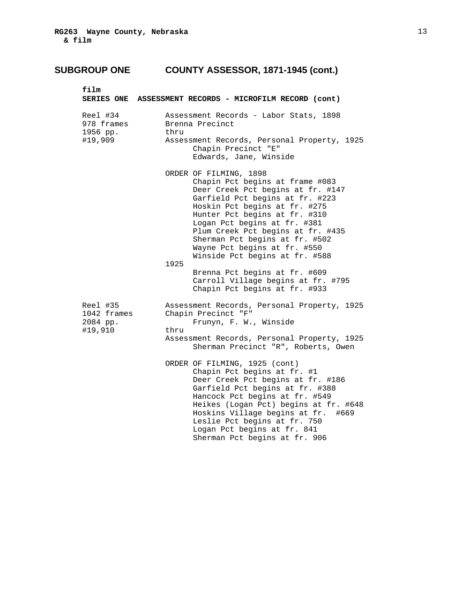| film                               | SERIES ONE ASSESSMENT RECORDS - MICROFILM RECORD (cont)                                                                                                                                                                                                                                                                                                                              |
|------------------------------------|--------------------------------------------------------------------------------------------------------------------------------------------------------------------------------------------------------------------------------------------------------------------------------------------------------------------------------------------------------------------------------------|
| Reel #34<br>978 frames<br>1956 pp. | Assessment Records - Labor Stats, 1898<br>Brenna Precinct<br>thru                                                                                                                                                                                                                                                                                                                    |
| #19,909                            | Assessment Records, Personal Property, 1925<br>Chapin Precinct "E"<br>Edwards, Jane, Winside                                                                                                                                                                                                                                                                                         |
|                                    | ORDER OF FILMING, 1898<br>Chapin Pct begins at frame #083<br>Deer Creek Pct begins at fr. #147<br>Garfield Pct begins at fr. #223<br>Hoskin Pct begins at fr. #275<br>Hunter Pct begins at fr. #310<br>Logan Pct begins at fr. #381<br>Plum Creek Pct begins at fr. #435<br>Sherman Pct begins at fr. #502<br>Wayne Pct begins at fr. #550<br>Winside Pct begins at fr. #588<br>1925 |
|                                    | Brenna Pct begins at fr. #609<br>Carroll Village begins at fr. #795<br>Chapin Pct begins at fr. #933                                                                                                                                                                                                                                                                                 |
| Reel #35<br>1042 frames            | Assessment Records, Personal Property, 1925<br>Chapin Precinct "F"                                                                                                                                                                                                                                                                                                                   |
| 2084 pp.<br>#19,910                | Frunyn, F. W., Winside<br>thru                                                                                                                                                                                                                                                                                                                                                       |
|                                    | Assessment Records, Personal Property, 1925<br>Sherman Precinct "R", Roberts, Owen                                                                                                                                                                                                                                                                                                   |
|                                    | ORDER OF FILMING, 1925 (cont)<br>Chapin Pct begins at fr. #1<br>Deer Creek Pct begins at fr. #186<br>Garfield Pct begins at fr. #388<br>Hancock Pct begins at fr. #549<br>Heikes (Logan Pct) begins at fr. #648<br>Hoskins Village begins at fr.<br>#669<br>Leslie Pct begins at fr. 750<br>Logan Pct begins at fr. 841<br>Sherman Pct begins at fr. 906                             |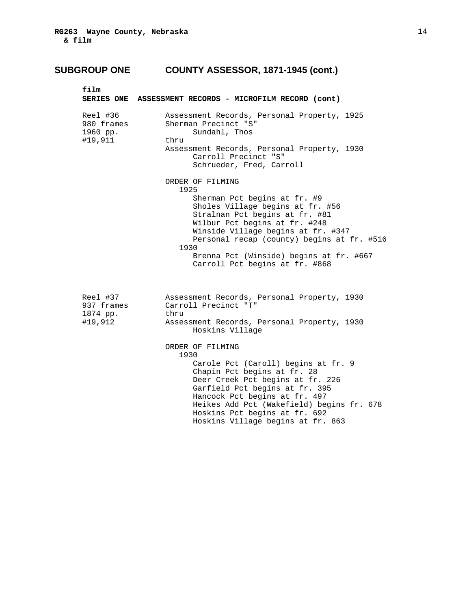| film                                          | SERIES ONE ASSESSMENT RECORDS - MICROFILM RECORD (cont)                                                                                                                                                                                                                                                      |
|-----------------------------------------------|--------------------------------------------------------------------------------------------------------------------------------------------------------------------------------------------------------------------------------------------------------------------------------------------------------------|
| Reel #36<br>980 frames<br>1960 pp.<br>#19,911 | Assessment Records, Personal Property, 1925<br>Sherman Precinct "S"<br>Sundahl, Thos<br>thru                                                                                                                                                                                                                 |
|                                               | Assessment Records, Personal Property, 1930<br>Carroll Precinct "S"<br>Schrueder, Fred, Carroll                                                                                                                                                                                                              |
|                                               | ORDER OF FILMING<br>1925                                                                                                                                                                                                                                                                                     |
|                                               | Sherman Pct begins at fr. #9<br>Sholes Village begins at fr. #56<br>Stralnan Pct begins at fr. #81<br>Wilbur Pct begins at fr. #248<br>Winside Village begins at fr. #347<br>Personal recap (county) begins at fr. #516<br>1930<br>Brenna Pct (Winside) begins at fr. #667<br>Carroll Pct begins at fr. #868 |
| Reel #37<br>937 frames<br>1874 pp.<br>#19,912 | Assessment Records, Personal Property, 1930<br>Carroll Precinct "T"<br>thru<br>Assessment Records, Personal Property, 1930<br>Hoskins Village                                                                                                                                                                |
|                                               | ORDER OF FILMING<br>1930                                                                                                                                                                                                                                                                                     |
|                                               | Carole Pct (Caroll) begins at fr. 9<br>Chapin Pct begins at fr. 28<br>Deer Creek Pct begins at fr. 226<br>Garfield Pct begins at fr. 395<br>Hancock Pct begins at fr. 497<br>Heikes Add Pct (Wakefield) begins fr. 678<br>Hoskins Pct begins at fr. 692<br>Hoskins Village begins at fr. 863                 |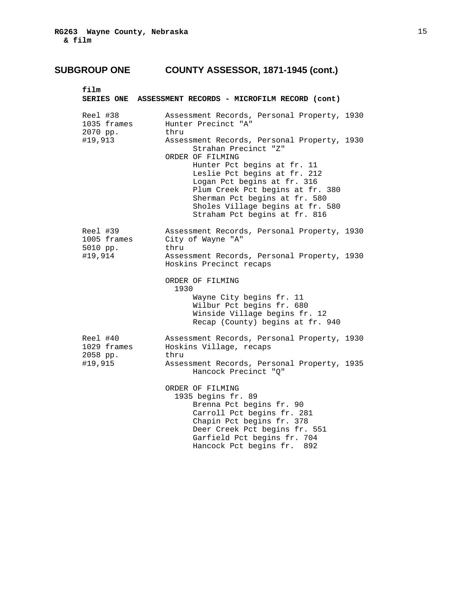| film                                           | SERIES ONE ASSESSMENT RECORDS - MICROFILM RECORD (cont)                                                                                                                                                                                                                                                                         |
|------------------------------------------------|---------------------------------------------------------------------------------------------------------------------------------------------------------------------------------------------------------------------------------------------------------------------------------------------------------------------------------|
| Reel #38<br>1035 frames<br>2070 pp.            | Assessment Records, Personal Property, 1930<br>Hunter Precinct "A"<br>thru                                                                                                                                                                                                                                                      |
| #19,913                                        | Assessment Records, Personal Property, 1930<br>Strahan Precinct "Z"<br>ORDER OF FILMING<br>Hunter Pct begins at fr. 11<br>Leslie Pct begins at fr. 212<br>Logan Pct begins at fr. 316<br>Plum Creek Pct begins at fr. 380<br>Sherman Pct begins at fr. 580<br>Sholes Village begins at fr. 580<br>Straham Pct begins at fr. 816 |
| Reel #39<br>1005 frames<br>5010 pp.<br>#19,914 | Assessment Records, Personal Property, 1930<br>City of Wayne "A"<br>thru<br>Assessment Records, Personal Property, 1930                                                                                                                                                                                                         |
|                                                | Hoskins Precinct recaps<br>ORDER OF FILMING<br>1930<br>Wayne City begins fr. 11<br>Wilbur Pct begins fr. 680<br>Winside Village begins fr. 12<br>Recap (County) begins at fr. 940                                                                                                                                               |
| Reel #40<br>1029 frames<br>2058 pp.            | Assessment Records, Personal Property, 1930<br>Hoskins Village, recaps<br>thru                                                                                                                                                                                                                                                  |
| #19,915                                        | Assessment Records, Personal Property, 1935<br>Hancock Precinct "Q"                                                                                                                                                                                                                                                             |
|                                                | ORDER OF FILMING<br>1935 begins fr. 89<br>Brenna Pct begins fr. 90<br>Carroll Pct begins fr. 281<br>Chapin Pct begins fr. 378<br>Deer Creek Pct begins fr. 551<br>Garfield Pct begins fr. 704<br>Hancock Pct begins fr.<br>892                                                                                                  |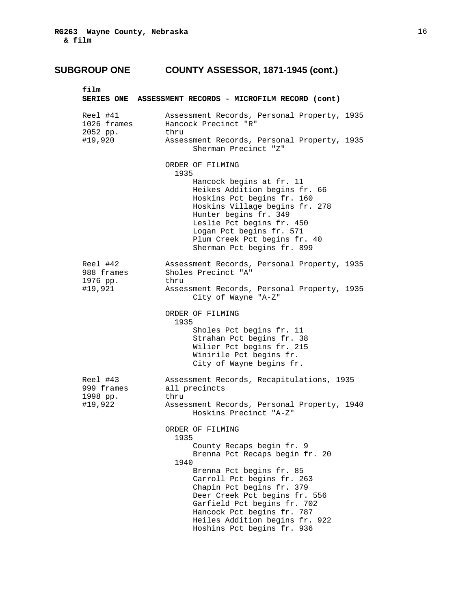| film                                          | SERIES ONE ASSESSMENT RECORDS - MICROFILM RECORD (cont)                                                                                                                                                                                                                                                                                              |
|-----------------------------------------------|------------------------------------------------------------------------------------------------------------------------------------------------------------------------------------------------------------------------------------------------------------------------------------------------------------------------------------------------------|
| Reel #41<br>1026 frames<br>2052 pp.           | Assessment Records, Personal Property, 1935<br>Hancock Precinct "R"<br>thru                                                                                                                                                                                                                                                                          |
| #19,920                                       | Assessment Records, Personal Property, 1935<br>Sherman Precinct "Z"                                                                                                                                                                                                                                                                                  |
|                                               | ORDER OF FILMING<br>1935<br>Hancock begins at fr. 11<br>Heikes Addition begins fr. 66<br>Hoskins Pct begins fr. 160<br>Hoskins Village begins fr. 278<br>Hunter begins fr. 349<br>Leslie Pct begins fr. 450<br>Logan Pct begins fr. 571<br>Plum Creek Pct begins fr. 40<br>Sherman Pct begins fr. 899                                                |
| Reel #42<br>988 frames<br>1976 pp.<br>#19,921 | Assessment Records, Personal Property, 1935<br>Sholes Precinct "A"<br>thru<br>Assessment Records, Personal Property, 1935<br>City of Wayne "A-Z"                                                                                                                                                                                                     |
|                                               | ORDER OF FILMING<br>1935<br>Sholes Pct begins fr. 11<br>Strahan Pct begins fr. 38<br>Wilier Pct begins fr. 215<br>Winirile Pct begins fr.<br>City of Wayne begins fr.                                                                                                                                                                                |
| Reel #43<br>999 frames<br>1998 pp.<br>#19,922 | Assessment Records, Recapitulations, 1935<br>all precincts<br>thru<br>Assessment Records, Personal Property, 1940<br>Hoskins Precinct "A-Z"                                                                                                                                                                                                          |
|                                               | ORDER OF FILMING<br>1935<br>County Recaps begin fr. 9<br>Brenna Pct Recaps begin fr. 20<br>1940<br>Brenna Pct begins fr. 85<br>Carroll Pct begins fr. 263<br>Chapin Pct begins fr. 379<br>Deer Creek Pct begins fr. 556<br>Garfield Pct begins fr. 702<br>Hancock Pct begins fr. 787<br>Heiles Addition begins fr. 922<br>Hoshins Pct begins fr. 936 |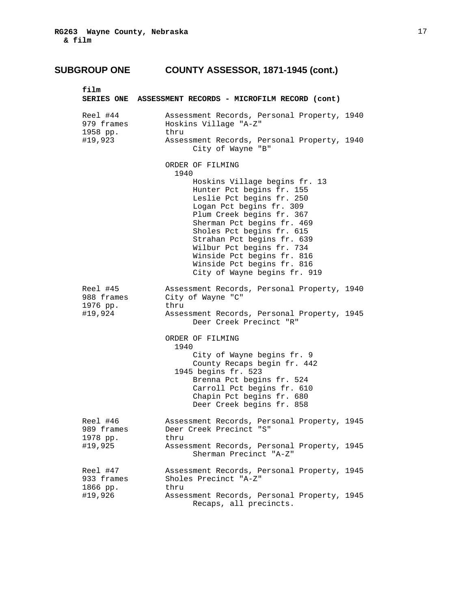| film                                          | SERIES ONE ASSESSMENT RECORDS - MICROFILM RECORD (cont)                                                                                                                                                                                                                                                                                                            |
|-----------------------------------------------|--------------------------------------------------------------------------------------------------------------------------------------------------------------------------------------------------------------------------------------------------------------------------------------------------------------------------------------------------------------------|
| Reel #44<br>979 frames<br>1958 pp.            | Assessment Records, Personal Property, 1940<br>Hoskins Village "A-Z"<br>thru                                                                                                                                                                                                                                                                                       |
| #19,923                                       | Assessment Records, Personal Property, 1940<br>City of Wayne "B"                                                                                                                                                                                                                                                                                                   |
|                                               | ORDER OF FILMING<br>1940                                                                                                                                                                                                                                                                                                                                           |
|                                               | Hoskins Village begins fr. 13<br>Hunter Pct begins fr. 155<br>Leslie Pct begins fr. 250<br>Logan Pct begins fr. 309<br>Plum Creek begins fr. 367<br>Sherman Pct begins fr. 469<br>Sholes Pct begins fr. 615<br>Strahan Pct begins fr. 639<br>Wilbur Pct begins fr. 734<br>Winside Pct begins fr. 816<br>Winside Pct begins fr. 816<br>City of Wayne begins fr. 919 |
| Reel #45<br>988 frames<br>1976 pp.<br>#19,924 | Assessment Records, Personal Property, 1940<br>City of Wayne "C"<br>thru<br>Assessment Records, Personal Property, 1945                                                                                                                                                                                                                                            |
|                                               | Deer Creek Precinct "R"                                                                                                                                                                                                                                                                                                                                            |
|                                               | ORDER OF FILMING<br>1940                                                                                                                                                                                                                                                                                                                                           |
|                                               | City of Wayne begins fr. 9<br>County Recaps begin fr. 442<br>1945 begins fr. 523<br>Brenna Pct begins fr. 524<br>Carroll Pct begins fr. 610<br>Chapin Pct begins fr. 680<br>Deer Creek begins fr. 858                                                                                                                                                              |
| Reel #46<br>989 frames<br>1978 pp.            | Assessment Records, Personal Property, 1945<br>Deer Creek Precinct "S"<br>thru                                                                                                                                                                                                                                                                                     |
| #19,925                                       | Assessment Records, Personal Property, 1945<br>Sherman Precinct "A-Z"                                                                                                                                                                                                                                                                                              |
| Reel #47<br>933 frames<br>1866 pp.            | Assessment Records, Personal Property, 1945<br>Sholes Precinct "A-Z"<br>thru                                                                                                                                                                                                                                                                                       |
| #19,926                                       | Assessment Records, Personal Property, 1945<br>Recaps, all precincts.                                                                                                                                                                                                                                                                                              |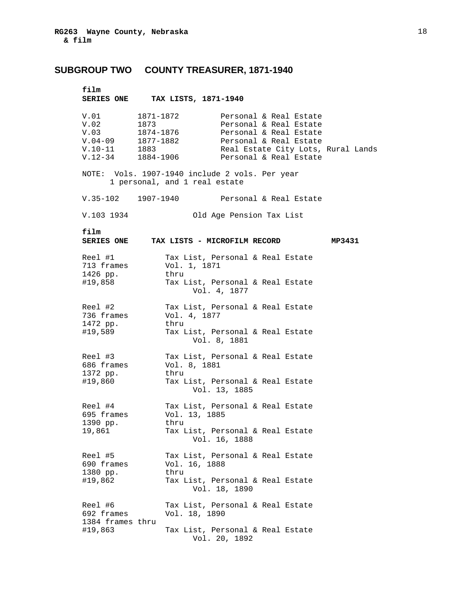### **SUBGROUP TWO COUNTY TREASURER, 1871-1940**

### **film**

 **SERIES ONE TAX LISTS, 1871-1940** 

| NOTE: Vols. 1907-1940 include 2 vols. Per year<br>1 personal, and 1 real estate                                                                                |        |
|----------------------------------------------------------------------------------------------------------------------------------------------------------------|--------|
| $V.35-102$ 1907-1940<br>Personal & Real Estate                                                                                                                 |        |
| V.103 1934<br>Old Age Pension Tax List                                                                                                                         |        |
| film<br><b>SERIES ONE</b><br>TAX LISTS - MICROFILM RECORD                                                                                                      | MP3431 |
| Reel #1<br>Tax List, Personal & Real Estate<br>713 frames<br>Vol. 1, 1871<br>1426 pp.<br>thru<br>#19,858<br>Tax List, Personal & Real Estate<br>Vol. 4, 1877   |        |
| Reel #2<br>Tax List, Personal & Real Estate<br>736 frames<br>Vol. 4, 1877<br>1472 pp.<br>thru<br>#19,589<br>Tax List, Personal & Real Estate<br>Vol. 8, 1881   |        |
| Reel #3<br>Tax List, Personal & Real Estate<br>686 frames<br>Vol. 8, 1881<br>1372 pp.<br>thru<br>#19,860<br>Tax List, Personal & Real Estate<br>Vol. 13, 1885  |        |
| Reel #4<br>Tax List, Personal & Real Estate<br>695 frames<br>Vol. 13, 1885<br>1390 pp.<br>thru<br>Tax List, Personal & Real Estate<br>19,861<br>Vol. 16, 1888  |        |
| Reel #5<br>Tax List, Personal & Real Estate<br>690 frames<br>Vol. 16, 1888<br>1380 pp.<br>thru<br>#19,862<br>Tax List, Personal & Real Estate<br>Vol. 18, 1890 |        |
| Tax List, Personal & Real Estate<br>Reel #6<br>692 frames<br>Vol. 18, 1890<br>1384 frames thru<br>#19,863<br>Tax List, Personal & Real Estate<br>Vol. 20, 1892 |        |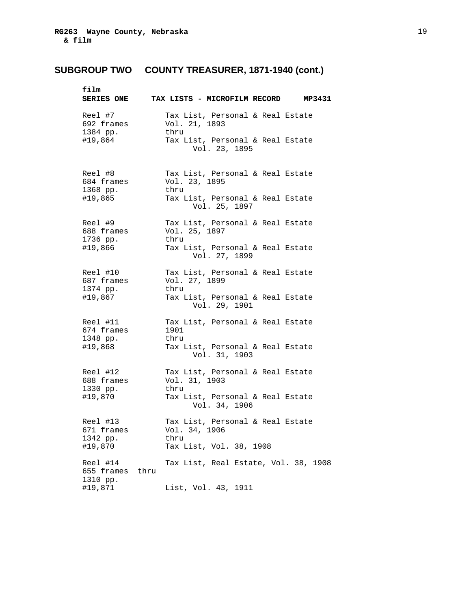| film                               |      | SERIES ONE TAX LISTS - MICROFILM RECORD MP3431            |
|------------------------------------|------|-----------------------------------------------------------|
| Reel #7<br>692 frames<br>1384 pp.  |      | Tax List, Personal & Real Estate<br>Vol. 21, 1893<br>thru |
| #19,864                            |      | Tax List, Personal & Real Estate<br>Vol. 23, 1895         |
| Reel #8<br>684 frames<br>1368 pp.  |      | Tax List, Personal & Real Estate<br>Vol. 23, 1895<br>thru |
| #19,865                            |      | Tax List, Personal & Real Estate<br>Vol. 25, 1897         |
| Reel #9<br>688 frames              |      | Tax List, Personal & Real Estate<br>Vol. 25, 1897         |
| 1736 pp.<br>#19,866                |      | thru<br>Tax List, Personal & Real Estate<br>Vol. 27, 1899 |
| Reel #10<br>687 frames<br>1374 pp. |      | Tax List, Personal & Real Estate<br>Vol. 27, 1899<br>thru |
| #19,867                            |      | Tax List, Personal & Real Estate<br>Vol. 29, 1901         |
| Reel #11<br>674 frames<br>1348 pp. |      | Tax List, Personal & Real Estate<br>1901<br>thru          |
| #19,868                            |      | Tax List, Personal & Real Estate<br>Vol. 31, 1903         |
| Reel #12<br>688 frames<br>1330 pp. |      | Tax List, Personal & Real Estate<br>Vol. 31, 1903<br>thru |
| #19,870                            |      | Tax List, Personal & Real Estate<br>Vol. 34, 1906         |
| Reel #13<br>671 frames<br>1342 pp. |      | Tax List, Personal & Real Estate<br>Vol. 34, 1906<br>thru |
| #19,870                            |      | Tax List, Vol. 38, 1908                                   |
| Reel #14<br>655 frames<br>1310 pp. | thru | Tax List, Real Estate, Vol. 38, 1908                      |
| #19,871                            |      | List, Vol. 43, 1911                                       |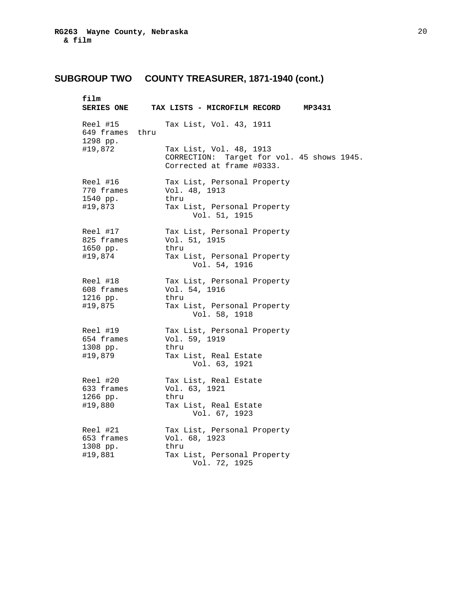| film                                    | SERIES ONE TAX LISTS - MICROFILM RECORD MP3431                                                     |
|-----------------------------------------|----------------------------------------------------------------------------------------------------|
| Reel #15<br>649 frames thru<br>1298 pp. | Tax List, Vol. 43, 1911                                                                            |
| #19,872                                 | Tax List, Vol. 48, 1913<br>CORRECTION: Target for vol. 45 shows 1945.<br>Corrected at frame #0333. |
| Reel #16<br>770 frames<br>1540 pp.      | Tax List, Personal Property<br>Vol. 48, 1913<br>thru                                               |
| #19,873                                 | Tax List, Personal Property<br>Vol. 51, 1915                                                       |
| Reel #17<br>825 frames<br>1650 pp.      | Tax List, Personal Property<br>Vol. 51, 1915<br>thru                                               |
| #19,874                                 | Tax List, Personal Property<br>Vol. 54, 1916                                                       |
| Reel #18<br>608 frames<br>1216 pp.      | Tax List, Personal Property<br>Vol. 54, 1916<br>thru                                               |
| #19,875                                 | Tax List, Personal Property<br>Vol. 58, 1918                                                       |
| Reel #19<br>654 frames<br>1308 pp.      | Tax List, Personal Property<br>Vol. 59, 1919<br>thru                                               |
| #19,879                                 | Tax List, Real Estate<br>Vol. 63, 1921                                                             |
| Reel #20<br>633 frames<br>1266 pp.      | Tax List, Real Estate<br>Vol. 63, 1921<br>thru                                                     |
| #19,880                                 | Tax List, Real Estate<br>Vol. 67, 1923                                                             |
| Reel #21<br>653 frames<br>1308 pp.      | Tax List, Personal Property<br>Vol. 68, 1923<br>thru                                               |
| #19,881                                 | Tax List, Personal Property<br>Vol. 72, 1925                                                       |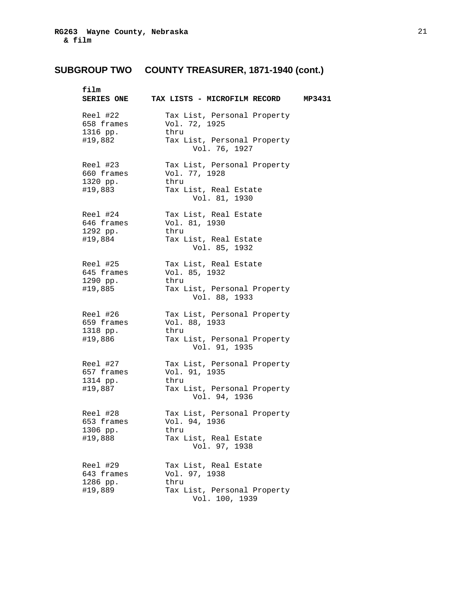| film                                          | SERIES ONE TAX LISTS - MICROFILM RECORD MP3431                                                       |  |
|-----------------------------------------------|------------------------------------------------------------------------------------------------------|--|
| Reel #22<br>658 frames<br>1316 pp.<br>#19,882 | Tax List, Personal Property<br>Vol. 72, 1925<br>thru<br>Tax List, Personal Property<br>Vol. 76, 1927 |  |
| Reel #23<br>660 frames<br>1320 pp.<br>#19,883 | Tax List, Personal Property<br>Vol. 77, 1928<br>thru<br>Tax List, Real Estate<br>Vol. 81, 1930       |  |
| Reel #24<br>646 frames<br>1292 pp.<br>#19,884 | Tax List, Real Estate<br>Vol. 81, 1930<br>thru<br>Tax List, Real Estate<br>Vol. 85, 1932             |  |
| Reel #25<br>645 frames<br>1290 pp.<br>#19,885 | Tax List, Real Estate<br>Vol. 85, 1932<br>thru<br>Tax List, Personal Property<br>Vol. 88, 1933       |  |
| Reel #26<br>659 frames<br>1318 pp.<br>#19,886 | Tax List, Personal Property<br>Vol. 88, 1933<br>thru<br>Tax List, Personal Property<br>Vol. 91, 1935 |  |
| Reel #27<br>657 frames<br>1314 pp.<br>#19,887 | Tax List, Personal Property<br>Vol. 91, 1935<br>thru<br>Tax List, Personal Property<br>Vol. 94, 1936 |  |
| Reel #28<br>653 frames<br>1306 pp.<br>#19,888 | Tax List, Personal Property<br>Vol. 94, 1936<br>thru<br>Tax List, Real Estate<br>Vol. 97, 1938       |  |
| Reel #29<br>643 frames<br>1286 pp.<br>#19,889 | Tax List, Real Estate<br>Vol. 97, 1938<br>thru<br>Tax List, Personal Property<br>Vol. 100, 1939      |  |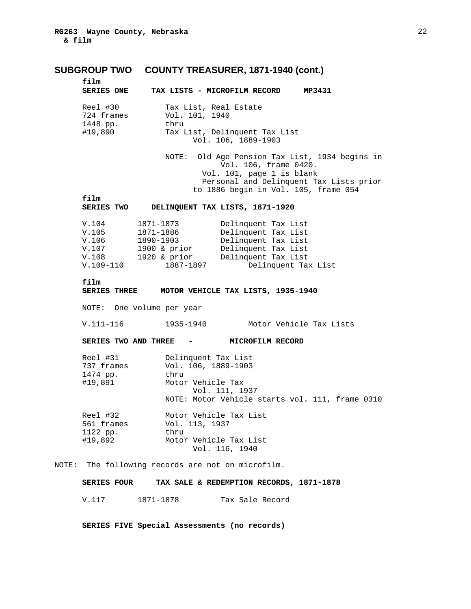**film** 

| film              |  |  |                              |        |
|-------------------|--|--|------------------------------|--------|
| <b>SERIES ONE</b> |  |  | TAX LISTS - MICROFILM RECORD | MP3431 |

| Reel #30   | Tax List, Real Estate         |  |
|------------|-------------------------------|--|
| 724 frames | Vol. 101, 1940                |  |
| 1448 pp.   | thru                          |  |
| #19,890    | Tax List, Delinquent Tax List |  |
|            | Vol. 106, 1889-1903           |  |

 NOTE: Old Age Pension Tax List, 1934 begins in Vol. 106, frame 0420. Vol. 101, page 1 is blank Personal and Delinquent Tax Lists prior to 1886 begin in Vol. 105, frame 054

**film** 

| <b>SERIES TWO</b> | DELINQUENT TAX LISTS, 1871-1920 |  |  |
|-------------------|---------------------------------|--|--|
|-------------------|---------------------------------|--|--|

| V.104       | 1871-1873      | Delinquent Tax List |
|-------------|----------------|---------------------|
| V.105       | 1871-1886      | Delinquent Tax List |
| V.106       | 1890-1903      | Delinquent Tax List |
| V.107       | $1900$ & prior | Delinquent Tax List |
| V.108       | $1920$ & prior | Delinquent Tax List |
| $V.109-110$ | 1887-1897      | Delinquent Tax List |

**film MOTOR VEHICLE TAX LISTS, 1935-1940** 

NOTE: One volume per year

V.111-116 1935-1940 Motor Vehicle Tax Lists

SERIES TWO AND THREE - MICROFILM RECORD

| Reel #31   | Delinquent Tax List                             |
|------------|-------------------------------------------------|
| 737 frames | Vol. 106, 1889-1903                             |
| 1474 pp.   | thru                                            |
| #19,891    | Motor Vehicle Tax                               |
|            | Vol. 111, 1937                                  |
|            | NOTE: Motor Vehicle starts vol. 111, frame 0310 |
| Reel #32   | Motor Vehicle Tax List                          |
| 561 frames | Vol. 113, 1937                                  |
| 1122 pp.   | thru                                            |
| #19,892    | Motor Vehicle Tax List                          |
|            | Vol. 116, 1940                                  |

NOTE: The following records are not on microfilm.

### **SERIES FOUR TAX SALE & REDEMPTION RECORDS, 1871-1878**

V.117 1871-1878 Tax Sale Record

 **SERIES FIVE Special Assessments (no records)**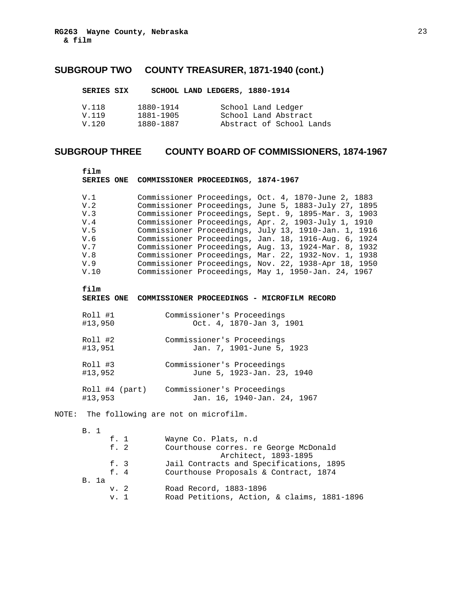| SERIES SIX     |                        | SCHOOL LAND LEDGERS, 1880-1914             |
|----------------|------------------------|--------------------------------------------|
| V.118<br>V.119 | 1880-1914<br>1881-1905 | School Land Ledger<br>School Land Abstract |
| V.120          | 1880-1887              | Abstract of School Lands                   |

# **SUBGROUP THREE COUNTY BOARD OF COMMISSIONERS, 1874-1967**

| film                                                                | SERIES ONE COMMISSIONER PROCEEDINGS, 1874-1967 |                                                          |                                                                                                                                                                                                                                                                                                                                                                                                                                                                                                                                                                           |
|---------------------------------------------------------------------|------------------------------------------------|----------------------------------------------------------|---------------------------------------------------------------------------------------------------------------------------------------------------------------------------------------------------------------------------------------------------------------------------------------------------------------------------------------------------------------------------------------------------------------------------------------------------------------------------------------------------------------------------------------------------------------------------|
| V.1<br>V.2<br>V.3<br>V.4<br>V.5<br>V.6<br>V.7<br>V.8<br>V.9<br>V.10 |                                                |                                                          | Commissioner Proceedings, Oct. 4, 1870-June 2, 1883<br>Commissioner Proceedings, June 5, 1883-July 27, 1895<br>Commissioner Proceedings, Sept. 9, 1895-Mar. 3, 1903<br>Commissioner Proceedings, Apr. 2, 1903-July 1, 1910<br>Commissioner Proceedings, July 13, 1910-Jan. 1, 1916<br>Commissioner Proceedings, Jan. 18, 1916-Aug. 6, 1924<br>Commissioner Proceedings, Aug. 13, 1924-Mar. 8, 1932<br>Commissioner Proceedings, Mar. 22, 1932-Nov. 1, 1938<br>Commissioner Proceedings, Nov. 22, 1938-Apr 18, 1950<br>Commissioner Proceedings, May 1, 1950-Jan. 24, 1967 |
| film                                                                |                                                |                                                          | SERIES ONE COMMISSIONER PROCEEDINGS - MICROFILM RECORD                                                                                                                                                                                                                                                                                                                                                                                                                                                                                                                    |
| Roll #1<br>#13,950                                                  |                                                | Commissioner's Proceedings<br>Oct. 4, 1870-Jan 3, 1901   |                                                                                                                                                                                                                                                                                                                                                                                                                                                                                                                                                                           |
| Roll #2<br>#13,951                                                  |                                                | Commissioner's Proceedings<br>Jan. 7, 1901-June 5, 1923  |                                                                                                                                                                                                                                                                                                                                                                                                                                                                                                                                                                           |
| Roll #3<br>#13,952                                                  |                                                | Commissioner's Proceedings<br>June 5, 1923-Jan. 23, 1940 |                                                                                                                                                                                                                                                                                                                                                                                                                                                                                                                                                                           |
| #13,953                                                             | Roll #4 (part) Commissioner's Proceedings      |                                                          | Jan. 16, 1940-Jan. 24, 1967                                                                                                                                                                                                                                                                                                                                                                                                                                                                                                                                               |
|                                                                     | NOTE: The following are not on microfilm.      |                                                          |                                                                                                                                                                                                                                                                                                                                                                                                                                                                                                                                                                           |
| B. 1<br>f. 1<br>f. 2<br>f. 3<br>f.4<br><b>B.</b> 1a                 |                                                | Wayne Co. Plats, n.d                                     | Courthouse corres. re George McDonald<br>Architect, 1893-1895<br>Jail Contracts and Specifications, 1895<br>Courthouse Proposals & Contract, 1874                                                                                                                                                                                                                                                                                                                                                                                                                         |
|                                                                     |                                                |                                                          |                                                                                                                                                                                                                                                                                                                                                                                                                                                                                                                                                                           |

 v. 2 Road Record, 1883-1896 v. 1 Road Petitions, Action, & claims, 1881-1896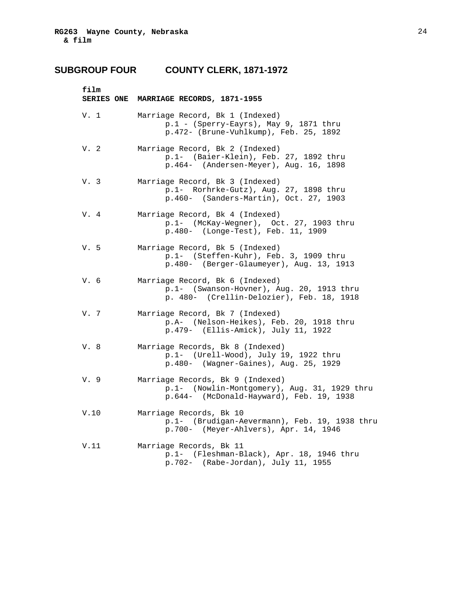## **SUBGROUP FOUR COUNTY CLERK, 1871-1972**

| film | SERIES ONE MARRIAGE RECORDS, 1871-1955                                                                                       |
|------|------------------------------------------------------------------------------------------------------------------------------|
| V. 1 | Marriage Record, Bk 1 (Indexed)<br>$p.1$ - (Sperry-Eayrs), May 9, 1871 thru<br>p.472- (Brune-Vuhlkump), Feb. 25, 1892        |
| V.2  | Marriage Record, Bk 2 (Indexed)<br>p.1- (Baier-Klein), Feb. 27, 1892 thru<br>p.464- (Andersen-Meyer), Aug. 16, 1898          |
| V. 3 | Marriage Record, Bk 3 (Indexed)<br>p.1- Rorhrke-Gutz), Aug. 27, 1898 thru<br>p.460- (Sanders-Martin), Oct. 27, 1903          |
| V. 4 | Marriage Record, Bk 4 (Indexed)<br>p.1- (McKay-Wegner), Oct. 27, 1903 thru<br>p.480- (Longe-Test), Feb. 11, 1909             |
| V.5  | Marriage Record, Bk 5 (Indexed)<br>p.1- (Steffen-Kuhr), Feb. 3, 1909 thru<br>p.480- (Berger-Glaumeyer), Aug. 13, 1913        |
| V.6  | Marriage Record, Bk 6 (Indexed)<br>p.1- (Swanson-Hovner), Aug. 20, 1913 thru<br>p. 480- (Crellin-Delozier), Feb. 18, 1918    |
| V. 7 | Marriage Record, Bk 7 (Indexed)<br>p.A- (Nelson-Heikes), Feb. 20, 1918 thru<br>p.479- (Ellis-Amick), July 11, 1922           |
| V. 8 | Marriage Records, Bk 8 (Indexed)<br>p.1- (Urell-Wood), July 19, 1922 thru<br>p.480- (Wagner-Gaines), Aug. 25, 1929           |
| V. 9 | Marriage Records, Bk 9 (Indexed)<br>p.1- (Nowlin-Montgomery), Aug. 31, 1929 thru<br>p.644- (McDonald-Hayward), Feb. 19, 1938 |
| V.10 | Marriage Records, Bk 10<br>p.1- (Brudigan-Aevermann), Feb. 19, 1938 thru<br>p.700- (Meyer-Ahlvers), Apr. 14, 1946            |
| V.11 | Marriage Records, Bk 11<br>p.1- (Fleshman-Black), Apr. 18, 1946 thru<br>$p.702-$ (Rabe-Jordan), July 11, 1955                |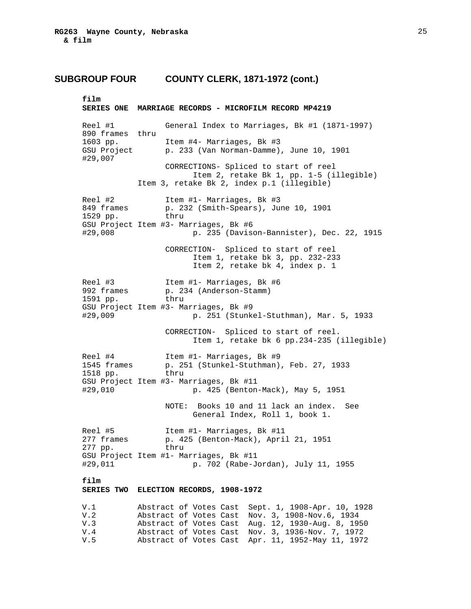### **SUBGROUP FOUR COUNTY CLERK, 1871-1972 (cont.)**

**film SERIES ONE MARRIAGE RECORDS - MICROFILM RECORD MP4219**  Reel #1 General Index to Marriages, Bk #1 (1871-1997) 890 frames thru 1603 pp. Item #4- Marriages, Bk #3 GSU Project p. 233 (Van Norman-Damme), June 10, 1901 #29,007 CORRECTIONS- Spliced to start of reel Item 2, retake Bk 1, pp. 1-5 (illegible) Item 3, retake Bk 2, index p.1 (illegible) Reel #2 Item #1- Marriages, Bk #3<br>849 frames p. 232 (Smith-Spears), Ju 849 frames p. 232 (Smith-Spears), June 10, 1901 1529 pp. thru GSU Project Item #3- Marriages, Bk #6 #29,008 p. 235 (Davison-Bannister), Dec. 22, 1915 CORRECTION- Spliced to start of reel Item 1, retake bk 3, pp. 232-233 Item 2, retake bk 4, index p. 1 Reel #3 Item #1- Marriages, Bk #6<br>992 frames p. 234 (Anderson-Stamm) p. 234 (Anderson-Stamm) 1591 pp. thru GSU Project Item #3- Marriages, Bk #9 #29,009 p. 251 (Stunkel-Stuthman), Mar. 5, 1933 CORRECTION- Spliced to start of reel. Item 1, retake bk 6 pp.234-235 (illegible) Reel #4 Item #1- Marriages, Bk #9 1545 frames p. 251 (Stunkel-Stuthman), Feb. 27, 1933 1518 pp. thru GSU Project Item #3- Marriages, Bk #11 #29,010 p. 425 (Benton-Mack), May 5, 1951 NOTE: Books 10 and 11 lack an index. See General Index, Roll 1, book 1. Reel #5 Item #1- Marriages, Bk #11<br>277 frames p. 425 (Benton-Mack), Apri p. 425 (Benton-Mack), April 21, 1951<br>thru 277 pp. GSU Project Item #1- Marriages, Bk #11 #29,011 p. 702 (Rabe-Jordan), July 11, 1955 **film SERIES TWO ELECTION RECORDS, 1908-1972**  V.1 Abstract of Votes Cast Sept. 1, 1908-Apr. 10, 1928 V.2 Abstract of Votes Cast Nov. 3, 1908-Nov.6, 1934 V.3 Abstract of Votes Cast Aug. 12, 1930-Aug. 8, 1950 V.4 Abstract of Votes Cast Nov. 3, 1936-Nov. 7, 1972 Abstract of Votes Cast Apr. 11, 1952-May 11, 1972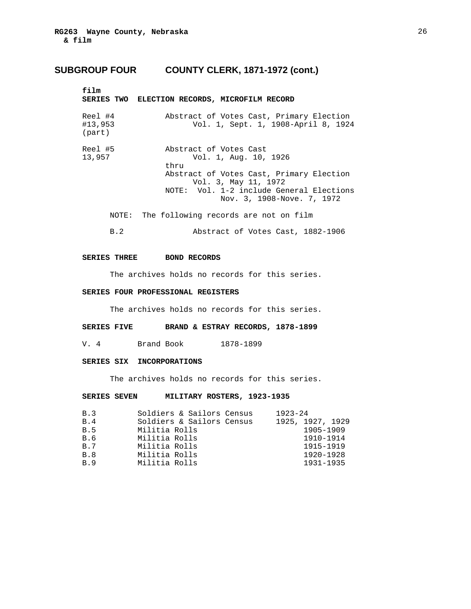### **SUBGROUP FOUR COUNTY CLERK, 1871-1972 (cont.)**

| film                         | SERIES TWO ELECTION RECORDS, MICROFILM RECORD                                                                                                                                                         |
|------------------------------|-------------------------------------------------------------------------------------------------------------------------------------------------------------------------------------------------------|
| Reel #4<br>#13,953<br>(part) | Abstract of Votes Cast, Primary Election<br>Vol. 1, Sept. 1, 1908-April 8, 1924                                                                                                                       |
| Reel #5<br>13,957            | Abstract of Votes Cast<br>Vol. 1, Aug. 10, 1926<br>thru<br>Abstract of Votes Cast, Primary Election<br>Vol. 3, May 11, 1972<br>NOTE: Vol. 1-2 include General Elections<br>Nov. 3, 1908-Nove. 7, 1972 |
| NOTE:                        | The following records are not on film                                                                                                                                                                 |
| B.2                          | Abstract of Votes Cast, 1882-1906                                                                                                                                                                     |

#### **SERIES THREE BOND RECORDS**

The archives holds no records for this series.

### **SERIES FOUR PROFESSIONAL REGISTERS**

The archives holds no records for this series.

#### **SERIES FIVE BRAND & ESTRAY RECORDS, 1878-1899**

V. 4 Brand Book 1878-1899

### **SERIES SIX INCORPORATIONS**

The archives holds no records for this series.

### **SERIES SEVEN MILITARY ROSTERS, 1923-1935**

| B.3        | Soldiers & Sailors Census | $1923 - 24$      |
|------------|---------------------------|------------------|
| B.4        | Soldiers & Sailors Census | 1925, 1927, 1929 |
| B.5        | Militia Rolls             | 1905-1909        |
| B.6        | Militia Rolls             | 1910-1914        |
| <b>B.7</b> | Militia Rolls             | 1915-1919        |
| B.8        | Militia Rolls             | 1920-1928        |
| B.9        | Militia Rolls             | 1931-1935        |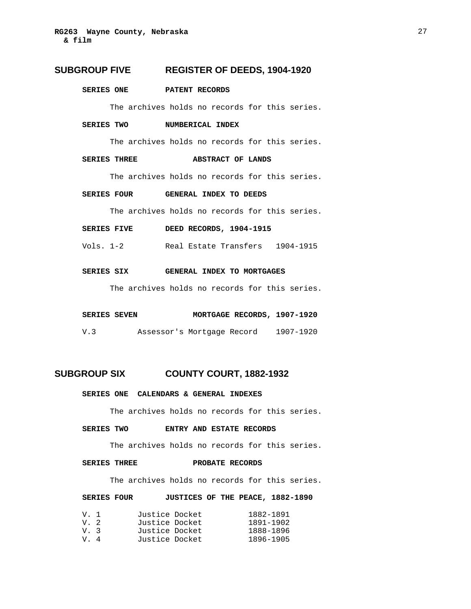### **SUBGROUP FIVE REGISTER OF DEEDS, 1904-1920**

#### **SERIES ONE PATENT RECORDS**

The archives holds no records for this series.

#### **SERIES TWO NUMBERICAL INDEX**

The archives holds no records for this series.

#### **SERIES THREE ABSTRACT OF LANDS**

The archives holds no records for this series.

#### **SERIES FOUR GENERAL INDEX TO DEEDS**

The archives holds no records for this series.

| <b>SERIES FIVE</b> | DEED RECORDS, 1904-1915 |  |
|--------------------|-------------------------|--|
|--------------------|-------------------------|--|

Vols. 1-2 Real Estate Transfers 1904-1915

### **SERIES SIX GENERAL INDEX TO MORTGAGES**

The archives holds no records for this series.

#### SERIES SEVEN **MORTGAGE RECORDS, 1907-1920**

V.3 Assessor's Mortgage Record 1907-1920

### **SUBGROUP SIX COUNTY COURT, 1882-1932**

 **SERIES ONE CALENDARS & GENERAL INDEXES** 

The archives holds no records for this series.

#### **SERIES TWO ENTRY AND ESTATE RECORDS**

The archives holds no records for this series.

#### **SERIES THREE PROBATE RECORDS**

The archives holds no records for this series.

#### **SERIES FOUR JUSTICES OF THE PEACE, 1882-1890**

| V. 1  | Justice Docket | 1882-1891 |
|-------|----------------|-----------|
| V. 2  | Justice Docket | 1891-1902 |
| V. 3  | Justice Docket | 1888-1896 |
| $V_4$ | Justice Docket | 1896-1905 |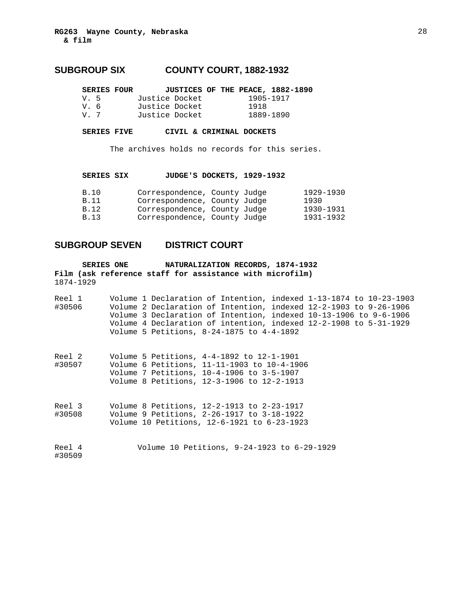### **SUBGROUP SIX COUNTY COURT, 1882-1932**

| <b>SERIES FOUR</b> |                |  |           | JUSTICES OF THE PEACE, 1882-1890 |
|--------------------|----------------|--|-----------|----------------------------------|
| $V = 5$            | Justice Docket |  | 1905-1917 |                                  |
| V. 6               | Justice Docket |  | 1918      |                                  |
| V 7                | Justice Docket |  | 1889-1890 |                                  |

**SERIES FIVE CIVIL & CRIMINAL DOCKETS** 

The archives holds no records for this series.

**SERIES SIX JUDGE'S DOCKETS, 1929-1932** 

| B.10  | Correspondence, County Judge |  | 1929-1930 |
|-------|------------------------------|--|-----------|
| B.11  | Correspondence, County Judge |  | 1930      |
| B. 12 | Correspondence, County Judge |  | 1930-1931 |
| B.13  | Correspondence, County Judge |  | 1931-1932 |

### **SUBGROUP SEVEN DISTRICT COURT**

**Film (ask reference staff for assistance with microfilm) SERIES ONE NATURALIZATION RECORDS, 1874-1932**  1874-1929

| Reel 1 |  |                                           |  | Volume 1 Declaration of Intention, indexed 1-13-1874 to 10-23-1903 |
|--------|--|-------------------------------------------|--|--------------------------------------------------------------------|
| #30506 |  |                                           |  | Volume 2 Declaration of Intention, indexed 12-2-1903 to 9-26-1906  |
|        |  |                                           |  | Volume 3 Declaration of Intention, indexed 10-13-1906 to 9-6-1906  |
|        |  |                                           |  | Volume 4 Declaration of intention, indexed 12-2-1908 to 5-31-1929  |
|        |  | Volume 5 Petitions, 8-24-1875 to 4-4-1892 |  |                                                                    |

| Reel 2 |  | Volume 5 Petitions, 4-4-1892 to 12-1-1901   |
|--------|--|---------------------------------------------|
| #30507 |  | Volume 6 Petitions, 11-11-1903 to 10-4-1906 |
|        |  | Volume 7 Petitions, 10-4-1906 to 3-5-1907   |
|        |  | Volume 8 Petitions, 12-3-1906 to 12-2-1913  |

Reel 3 Volume 8 Petitions, 12-2-1913 to 2-23-1917<br>#30508 Volume 9 Petitions, 2-26-1917 to 3-18-1922 Volume 9 Petitions, 2-26-1917 to 3-18-1922 Volume 10 Petitions, 12-6-1921 to 6-23-1923

Reel 4 Volume 10 Petitions, 9-24-1923 to 6-29-1929 #30509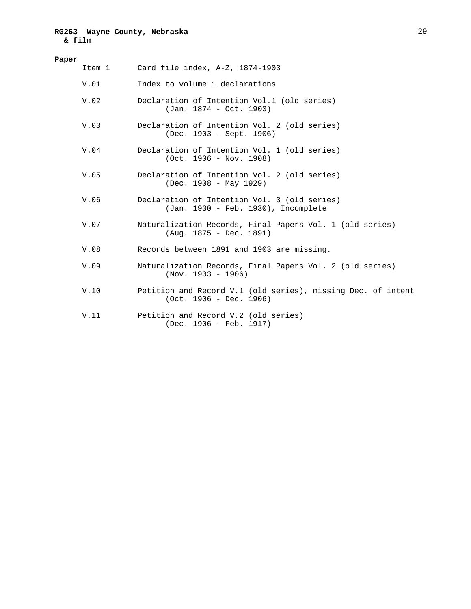### **RG263 Wayne County, Nebraska & film**

| Paper |        |                                                                                           |  |  |  |  |
|-------|--------|-------------------------------------------------------------------------------------------|--|--|--|--|
|       | Item 1 | Card file index, A-Z, 1874-1903                                                           |  |  |  |  |
|       | V.01   | Index to volume 1 declarations                                                            |  |  |  |  |
|       | V.02   | Declaration of Intention Vol.1 (old series)<br>$(Jan. 1874 - Oct. 1903)$                  |  |  |  |  |
|       | V.03   | Declaration of Intention Vol. 2 (old series)<br>(Dec. 1903 - Sept. 1906)                  |  |  |  |  |
|       | V.04   | Declaration of Intention Vol. 1 (old series)<br>$(Oct. 1906 - Nov. 1908)$                 |  |  |  |  |
|       | V.05   | Declaration of Intention Vol. 2 (old series)<br>$(Dec. 1908 - May 1929)$                  |  |  |  |  |
|       | V.06   | Declaration of Intention Vol. 3 (old series)<br>(Jan. 1930 - Feb. 1930), Incomplete       |  |  |  |  |
|       | V.07   | Naturalization Records, Final Papers Vol. 1 (old series)<br>$(Aug. 1875 - Dec. 1891)$     |  |  |  |  |
|       | V.08   | Records between 1891 and 1903 are missing.                                                |  |  |  |  |
|       | V.09   | Naturalization Records, Final Papers Vol. 2 (old series)<br>$(Nov. 1903 - 1906)$          |  |  |  |  |
|       | V.10   | Petition and Record V.1 (old series), missing Dec. of intent<br>$(Oct. 1906 - Dec. 1906)$ |  |  |  |  |
|       | V.11   | Petition and Record V.2 (old series)<br>$(Dec. 1906 - Feb. 1917)$                         |  |  |  |  |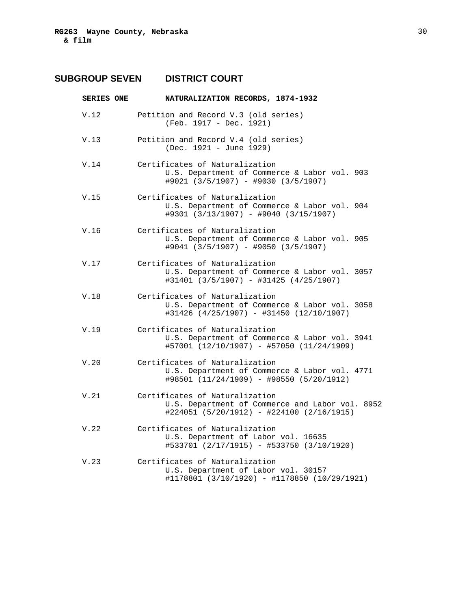# **SUBGROUP SEVEN DISTRICT COURT**

| <b>SERIES ONE</b> | NATURALIZATION RECORDS, 1874-1932                                                                                              |  |  |  |
|-------------------|--------------------------------------------------------------------------------------------------------------------------------|--|--|--|
| V.12              | Petition and Record V.3 (old series)<br>(Feb. 1917 - Dec. 1921)                                                                |  |  |  |
| V.13              | Petition and Record V.4 (old series)<br>(Dec. 1921 - June 1929)                                                                |  |  |  |
| V.14              | Certificates of Naturalization<br>U.S. Department of Commerce & Labor vol. 903<br>#9021 (3/5/1907) - #9030 (3/5/1907)          |  |  |  |
| V.15              | Certificates of Naturalization<br>U.S. Department of Commerce & Labor vol. 904<br>#9301 (3/13/1907) - #9040 (3/15/1907)        |  |  |  |
| V.16              | Certificates of Naturalization<br>U.S. Department of Commerce & Labor vol. 905<br>#9041 (3/5/1907) - #9050 (3/5/1907)          |  |  |  |
| V.17              | Certificates of Naturalization<br>U.S. Department of Commerce & Labor vol. 3057<br>#31401 (3/5/1907) - #31425 (4/25/1907)      |  |  |  |
| V.18              | Certificates of Naturalization<br>U.S. Department of Commerce & Labor vol. 3058<br>#31426 (4/25/1907) - #31450 (12/10/1907)    |  |  |  |
| V.19              | Certificates of Naturalization<br>U.S. Department of Commerce & Labor vol. 3941<br>#57001 (12/10/1907) - #57050 (11/24/1909)   |  |  |  |
| V.20              | Certificates of Naturalization<br>U.S. Department of Commerce & Labor vol. 4771<br>#98501 (11/24/1909) - #98550 (5/20/1912)    |  |  |  |
| V.21              | Certificates of Naturalization<br>U.S. Department of Commerce and Labor vol. 8952<br>#224051 (5/20/1912) - #224100 (2/16/1915) |  |  |  |
| V.22              | Certificates of Naturalization<br>U.S. Department of Labor vol. 16635<br>#533701 (2/17/1915) - #533750 (3/10/1920)             |  |  |  |
| V.23              | Certificates of Naturalization<br>U.S. Department of Labor vol. 30157<br>#1178801 (3/10/1920) - #1178850 (10/29/1921)          |  |  |  |